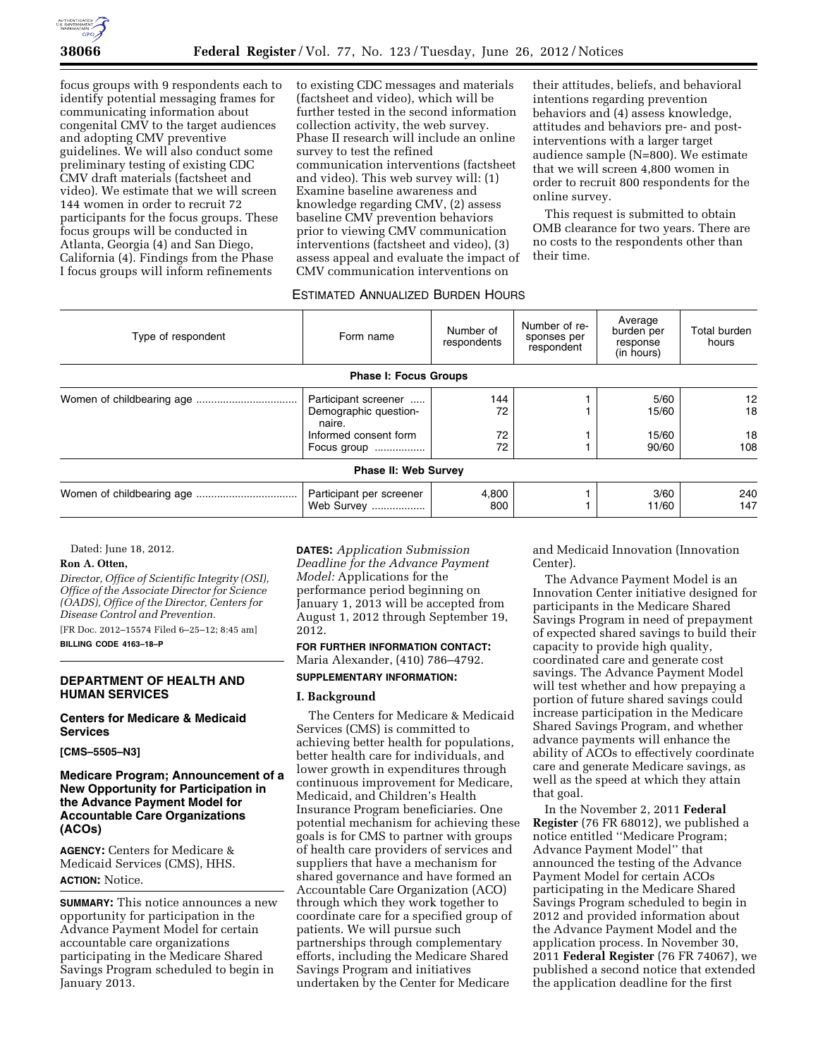

focus groups with 9 respondents each to identify potential messaging frames for communicating information about congenital CMV to the target audiences and adopting CMV preventive guidelines. We will also conduct some preliminary testing of existing CDC CMV draft materials (factsheet and video). We estimate that we will screen 144 women in order to recruit 72 participants for the focus groups. These focus groups will be conducted in Atlanta, Georgia (4) and San Diego, California (4). Findings from the Phase I focus groups will inform refinements

to existing CDC messages and materials (factsheet and video), which will be further tested in the second information collection activity, the web survey. Phase II research will include an online survey to test the refined communication interventions (factsheet and video). This web survey will: (1) Examine baseline awareness and knowledge regarding CMV, (2) assess baseline CMV prevention behaviors prior to viewing CMV communication interventions (factsheet and video), (3) assess appeal and evaluate the impact of CMV communication interventions on

their attitudes, beliefs, and behavioral intentions regarding prevention behaviors and (4) assess knowledge, attitudes and behaviors pre- and postinterventions with a larger target audience sample (N=800). We estimate that we will screen 4,800 women in order to recruit 800 respondents for the online survey.

This request is submitted to obtain OMB clearance for two years. There are no costs to the respondents other than their time.

#### ESTIMATED ANNUALIZED BURDEN HOURS

| Type of respondent | Form name                              | Number of<br>respondents | Number of re-<br>sponses per<br>respondent | Average<br>burden per<br>response<br>(in hours) | Total burden<br>hours |
|--------------------|----------------------------------------|--------------------------|--------------------------------------------|-------------------------------------------------|-----------------------|
|                    | <b>Phase I: Focus Groups</b>           |                          |                                            |                                                 |                       |
|                    | Participant screener                   | 144                      |                                            | 5/60                                            | 12                    |
|                    | Demographic question-<br>naire.        | 72                       |                                            | 15/60                                           | 18                    |
|                    | Informed consent form                  | 72                       |                                            | 15/60                                           | 18                    |
|                    | Focus group                            | 72                       |                                            | 90/60                                           | 108                   |
|                    | <b>Phase II: Web Survey</b>            |                          |                                            |                                                 |                       |
|                    | Participant per screener<br>Web Survey | 4,800<br>800             |                                            | 3/60<br>11/60                                   | 240<br>147            |

Dated: June 18, 2012.

## **Ron A. Otten,**

*Director, Office of Scientific Integrity (OSI), Office of the Associate Director for Science (OADS), Office of the Director, Centers for Disease Control and Prevention.* 

[FR Doc. 2012–15574 Filed 6–25–12; 8:45 am] **BILLING CODE 4163–18–P** 

#### **DEPARTMENT OF HEALTH AND HUMAN SERVICES**

**Centers for Medicare & Medicaid Services** 

**[CMS–5505–N3]** 

## **Medicare Program; Announcement of a New Opportunity for Participation in the Advance Payment Model for Accountable Care Organizations (ACOs)**

**AGENCY:** Centers for Medicare & Medicaid Services (CMS), HHS. **ACTION:** Notice.

**SUMMARY:** This notice announces a new opportunity for participation in the Advance Payment Model for certain accountable care organizations participating in the Medicare Shared Savings Program scheduled to begin in January 2013.

**DATES:** *Application Submission Deadline for the Advance Payment Model:* Applications for the performance period beginning on January 1, 2013 will be accepted from August 1, 2012 through September 19, 2012.

# **FOR FURTHER INFORMATION CONTACT:**  Maria Alexander, (410) 786–4792.

## **SUPPLEMENTARY INFORMATION:**

## **I. Background**

The Centers for Medicare & Medicaid Services (CMS) is committed to achieving better health for populations, better health care for individuals, and lower growth in expenditures through continuous improvement for Medicare, Medicaid, and Children's Health Insurance Program beneficiaries. One potential mechanism for achieving these goals is for CMS to partner with groups of health care providers of services and suppliers that have a mechanism for shared governance and have formed an Accountable Care Organization (ACO) through which they work together to coordinate care for a specified group of patients. We will pursue such partnerships through complementary efforts, including the Medicare Shared Savings Program and initiatives undertaken by the Center for Medicare

and Medicaid Innovation (Innovation Center).

The Advance Payment Model is an Innovation Center initiative designed for participants in the Medicare Shared Savings Program in need of prepayment of expected shared savings to build their capacity to provide high quality, coordinated care and generate cost savings. The Advance Payment Model will test whether and how prepaying a portion of future shared savings could increase participation in the Medicare Shared Savings Program, and whether advance payments will enhance the ability of ACOs to effectively coordinate care and generate Medicare savings, as well as the speed at which they attain that goal.

In the November 2, 2011 **Federal Register** (76 FR 68012), we published a notice entitled ''Medicare Program; Advance Payment Model'' that announced the testing of the Advance Payment Model for certain ACOs participating in the Medicare Shared Savings Program scheduled to begin in 2012 and provided information about the Advance Payment Model and the application process. In November 30, 2011 **Federal Register** (76 FR 74067), we published a second notice that extended the application deadline for the first